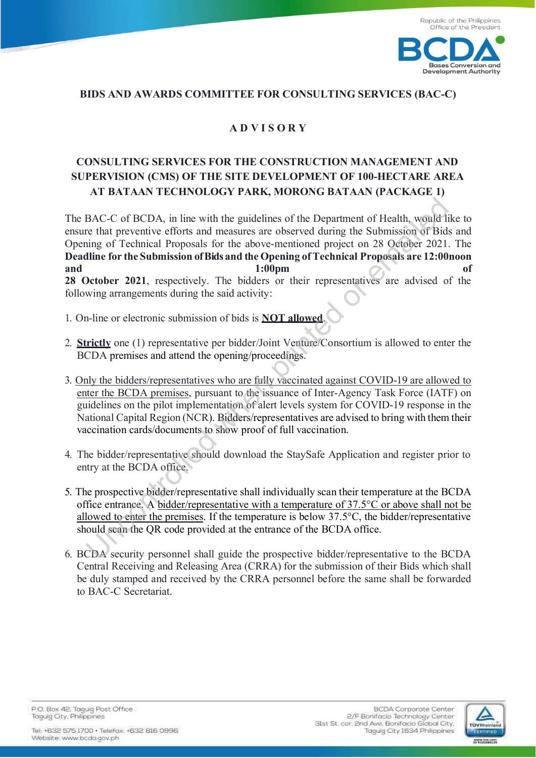

## **BIDS AND AWARDS COMMITTEE FOR CONSULTING SERVICES (BAC-C)**

## **A D V I S O R Y**

## **CONSULTING SERVICES FOR THE CONSTRUCTION MANAGEMENT AND SUPERVISION (CMS) OF THE SITE DEVELOPMENT OF 100-HECTARE AREA AT BATAAN TECHNOLOGY PARK, MORONG BATAAN (PACKAGE 1)**

The BAC-C of BCDA, in line with the guidelines of the Department of Health, would like to ensure that preventive efforts and measures are observed during the Submission of Bids and Opening of Technical Proposals for the above-mentioned project on 28 October 2021. The **Deadline for the Submission of Bids and the Opening of Technical Proposals are 12:00noon and 1:00pm of 28 October 2021**, respectively. The bidders or their representatives are advised of the following arrangements during the said activity: BAC-C of BCDA, in line with the guidelines of the Department of Health, would ite that preventive efforts and measures are observed during the Submission of Bidsing of Technical Proposals for the above-mentioned project on

- 1. On-line or electronic submission of bids is **NOT allowed**.
- 2. **Strictly** one (1) representative per bidder/Joint Venture/Consortium is allowed to enter the BCDA premises and attend the opening/proceedings.
- 3. Only the bidders/representatives who are fully vaccinated against COVID-19 are allowed to enter the BCDA premises, pursuant to the issuance of Inter-Agency Task Force (IATF) on guidelines on the pilot implementation of alert levels system for COVID-19 response in the National Capital Region (NCR). Bidders/representatives are advised to bring with them their vaccination cards/documents to show proof of full vaccination.
- 4. The bidder/representative should download the StaySafe Application and register prior to entry at the BCDA office.
- 5. The prospective bidder/representative shall individually scan their temperature at the BCDA office entrance. A bidder/representative with a temperature of 37.5°C or above shall not be allowed to enter the premises. If the temperature is below 37.5°C, the bidder/representative should scan the QR code provided at the entrance of the BCDA office.
- 6. BCDA security personnel shall guide the prospective bidder/representative to the BCDA Central Receiving and Releasing Area (CRRA) for the submission of their Bids which shall be duly stamped and received by the CRRA personnel before the same shall be forwarded to BAC-C Secretariat.

P.O. Box 42, Taguig Post Office Taguig City, Philippines